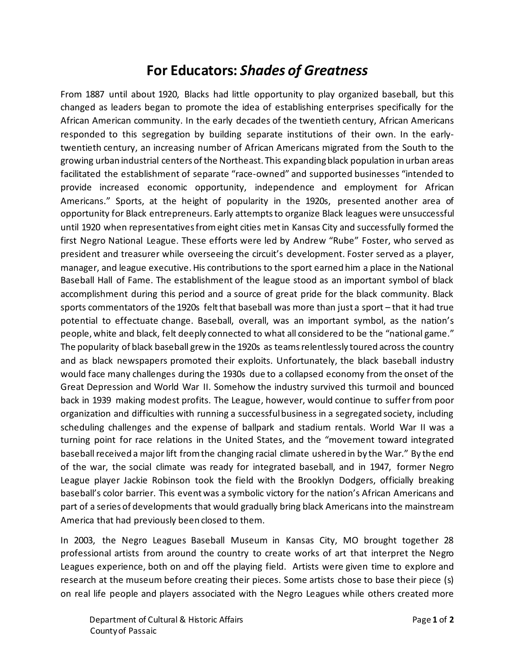## **For Educators:** *Shades of Greatness*

From 1887 until about 1920, Blacks had little opportunity to play organized baseball, but this changed as leaders began to promote the idea of establishing enterprises specifically for the African American community. In the early decades of the twentieth century, African Americans responded to this segregation by building separate institutions of their own. In the earlytwentieth century, an increasing number of African Americans migrated from the South to the growing urban industrial centers of the Northeast. This expanding black population in urban areas facilitated the establishment of separate "race-owned" and supported businesses "intended to provide increased economic opportunity, independence and employment for African Americans." Sports, at the height of popularity in the 1920s, presented another area of opportunity for Black entrepreneurs. Early attempts to organize Black leagues were unsuccessful until 1920 when representatives from eight cities met in Kansas City and successfully formed the first Negro National League. These efforts were led by Andrew "Rube" Foster, who served as president and treasurer while overseeing the circuit's development. Foster served as a player, manager, and league executive. His contributions to the sport earned him a place in the National Baseball Hall of Fame. The establishment of the league stood as an important symbol of black accomplishment during this period and a source of great pride for the black community. Black sports commentators of the 1920s felt that baseball was more than just a sport – that it had true potential to effectuate change. Baseball, overall, was an important symbol, as the nation's people, white and black, felt deeply connected to what all considered to be the "national game." The popularity of black baseball grew in the 1920s as teams relentlessly toured across the country and as black newspapers promoted their exploits. Unfortunately, the black baseball industry would face many challenges during the 1930s due to a collapsed economy from the onset of the Great Depression and World War II. Somehow the industry survived this turmoil and bounced back in 1939 making modest profits. The League, however, would continue to suffer from poor organization and difficulties with running a successful business in a segregated society, including scheduling challenges and the expense of ballpark and stadium rentals. World War II was a turning point for race relations in the United States, and the "movement toward integrated baseball received a major lift from the changing racial climate ushered in by the War." By the end of the war, the social climate was ready for integrated baseball, and in 1947, former Negro League player Jackie Robinson took the field with the Brooklyn Dodgers, officially breaking baseball's color barrier. This event was a symbolic victory for the nation's African Americans and part of a series of developments that would gradually bring black Americans into the mainstream America that had previously been closed to them.

In 2003, the Negro Leagues Baseball Museum in Kansas City, MO brought together 28 professional artists from around the country to create works of art that interpret the Negro Leagues experience, both on and off the playing field. Artists were given time to explore and research at the museum before creating their pieces. Some artists chose to base their piece (s) on real life people and players associated with the Negro Leagues while others created more